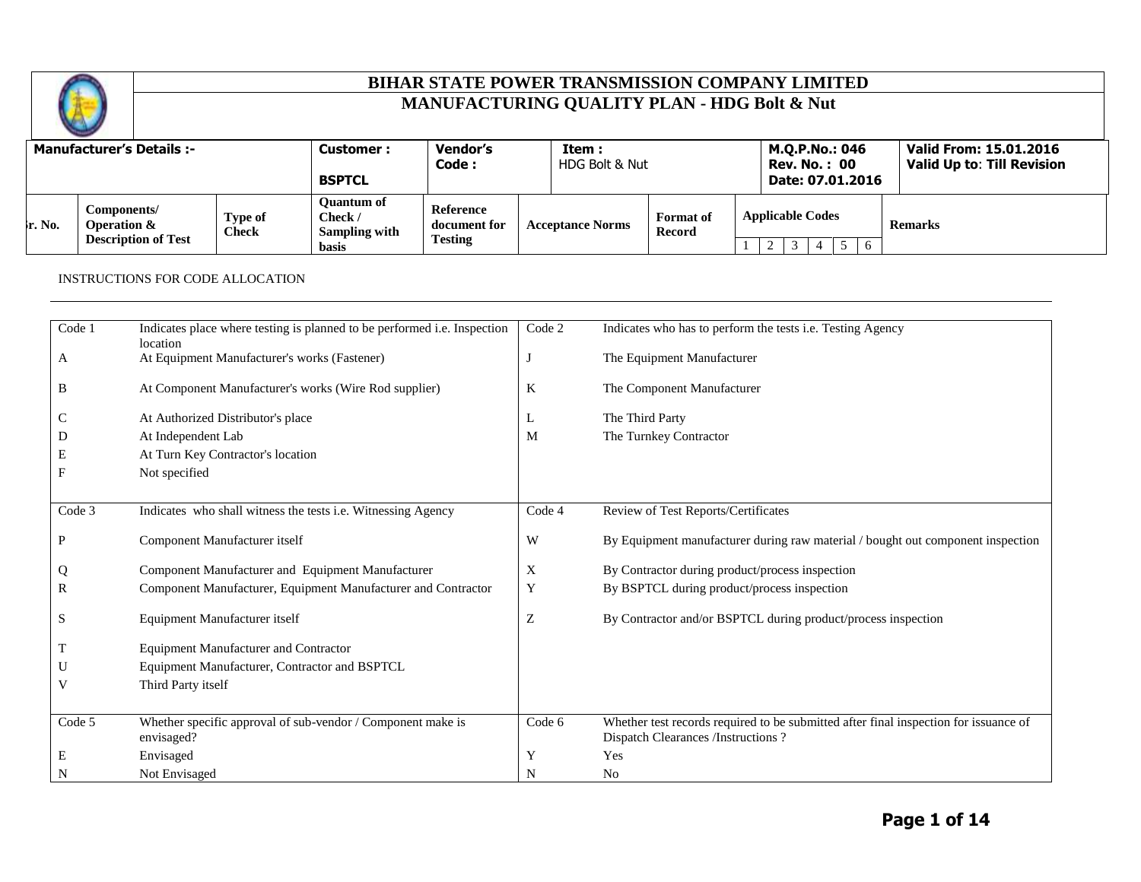

|         | <b>Manufacturer's Details:-</b>                          |                         | <b>Customer :</b><br><b>BSPTCL</b>                            | Vendor's<br>Code :                          | Item:<br>HDG Bolt & Nut |                            | M.Q.P.No.: 046<br><b>Rev. No. : 00</b><br>Date: 07.01.2016 | Valid From: 15.01.2016<br><b>Valid Up to: Till Revision</b> |
|---------|----------------------------------------------------------|-------------------------|---------------------------------------------------------------|---------------------------------------------|-------------------------|----------------------------|------------------------------------------------------------|-------------------------------------------------------------|
| Ir. No. | Components/<br>Operation &<br><b>Description of Test</b> | Type of<br><b>Check</b> | <b>Ouantum of</b><br>Check /<br>Sampling with<br><b>basis</b> | Reference<br>document for<br><b>Testing</b> | <b>Acceptance Norms</b> | <b>Format</b> of<br>Record | <b>Applicable Codes</b><br>- 6                             | <b>Remarks</b>                                              |

#### INSTRUCTIONS FOR CODE ALLOCATION

| Code 1 | Indicates place where testing is planned to be performed i.e. Inspection | Code 2  | Indicates who has to perform the tests i.e. Testing Agency                           |
|--------|--------------------------------------------------------------------------|---------|--------------------------------------------------------------------------------------|
|        | location                                                                 |         |                                                                                      |
| A      | At Equipment Manufacturer's works (Fastener)                             |         | The Equipment Manufacturer                                                           |
|        |                                                                          |         |                                                                                      |
| B      | At Component Manufacturer's works (Wire Rod supplier)                    | $\bf K$ | The Component Manufacturer                                                           |
|        |                                                                          |         |                                                                                      |
| C      | At Authorized Distributor's place                                        | L       | The Third Party                                                                      |
| D      | At Independent Lab                                                       | M       | The Turnkey Contractor                                                               |
| Е      | At Turn Key Contractor's location                                        |         |                                                                                      |
| F      | Not specified                                                            |         |                                                                                      |
|        |                                                                          |         |                                                                                      |
|        |                                                                          |         |                                                                                      |
| Code 3 | Indicates who shall witness the tests i.e. Witnessing Agency             | Code 4  | Review of Test Reports/Certificates                                                  |
|        |                                                                          |         |                                                                                      |
| P      | Component Manufacturer itself                                            | W       | By Equipment manufacturer during raw material / bought out component inspection      |
|        |                                                                          |         |                                                                                      |
| Q      | Component Manufacturer and Equipment Manufacturer                        | X       | By Contractor during product/process inspection                                      |
| R      | Component Manufacturer, Equipment Manufacturer and Contractor            | Y       | By BSPTCL during product/process inspection                                          |
|        |                                                                          |         |                                                                                      |
| S      | Equipment Manufacturer itself                                            | Z       | By Contractor and/or BSPTCL during product/process inspection                        |
|        |                                                                          |         |                                                                                      |
|        | <b>Equipment Manufacturer and Contractor</b>                             |         |                                                                                      |
| U      | Equipment Manufacturer, Contractor and BSPTCL                            |         |                                                                                      |
| V      | Third Party itself                                                       |         |                                                                                      |
|        |                                                                          |         |                                                                                      |
|        |                                                                          |         |                                                                                      |
| Code 5 | Whether specific approval of sub-vendor / Component make is              | Code 6  | Whether test records required to be submitted after final inspection for issuance of |
|        | envisaged?                                                               |         | Dispatch Clearances /Instructions ?                                                  |
| Ε      | Envisaged                                                                | Y       | Yes                                                                                  |
| N      | Not Envisaged                                                            | N       | N <sub>0</sub>                                                                       |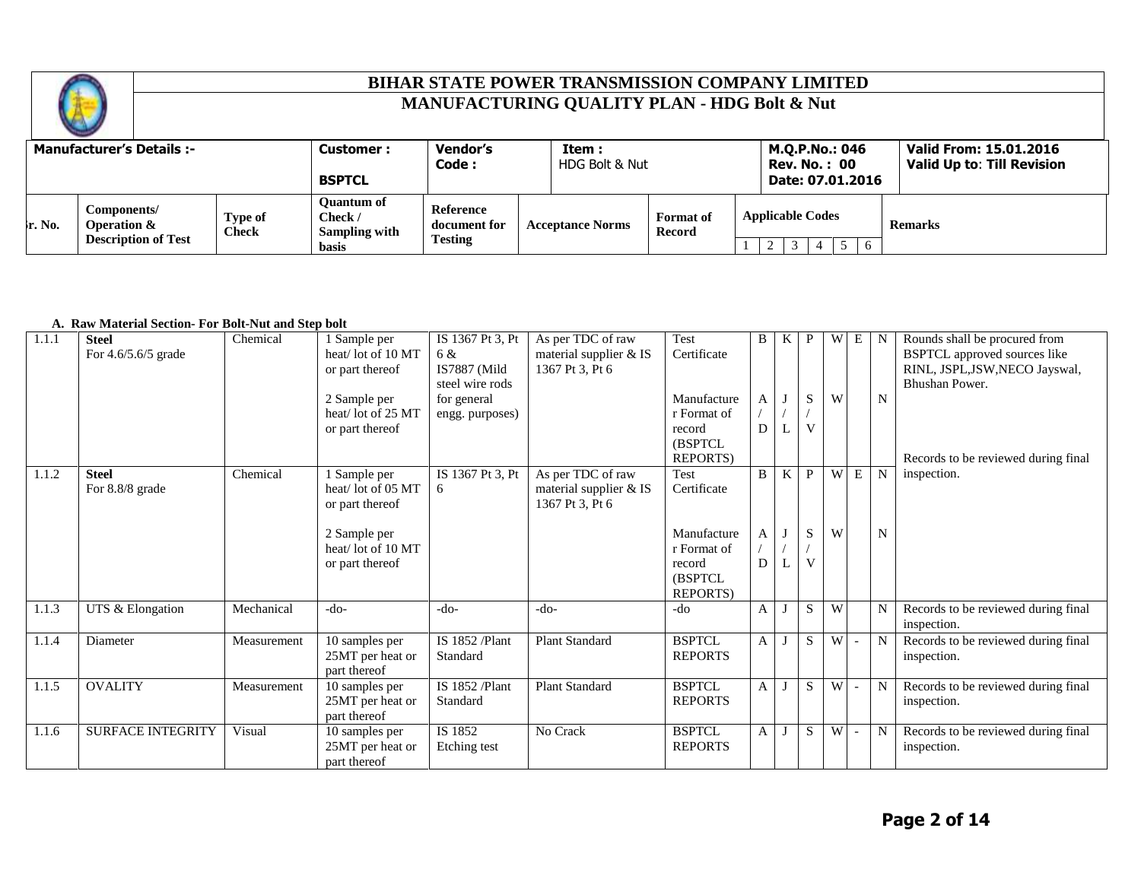

|                    | <b>Manufacturer's Details:-</b>                                     |                         | <b>Customer :</b><br><b>BSPTCL</b>                     | <b>Vendor's</b><br>Code :                   | Item :<br>HDG Bolt & Nut |                            | M.Q.P.No.: 046<br><b>Rev. No. : 00</b><br>Date: 07.01.2016 | Valid From: 15.01.2016<br><b>Valid Up to: Till Revision</b> |
|--------------------|---------------------------------------------------------------------|-------------------------|--------------------------------------------------------|---------------------------------------------|--------------------------|----------------------------|------------------------------------------------------------|-------------------------------------------------------------|
| $\mathbf{r}$ . No. | Components/<br><b>Operation &amp;</b><br><b>Description of Test</b> | Type of<br><b>Check</b> | Ouantum of<br>Check /<br>Sampling with<br><b>basis</b> | Reference<br>document for<br><b>Testing</b> | <b>Acceptance Norms</b>  | <b>Format</b> of<br>Record | <b>Applicable Codes</b><br>$\leq$<br>-6                    | <b>Remarks</b>                                              |

#### **A. Raw Material Section- For Bolt-Nut and Step bolt**

| 1.1.1 | <b>Steel</b><br>For 4.6/5.6/5 grade | Chemical    | 1 Sample per<br>heat/lot of 10 MT<br>or part thereof<br>2 Sample per<br>heat/lot of 25 MT<br>or part thereof | IS 1367 Pt 3. Pt<br>6 &<br>IS7887 (Mild<br>steel wire rods<br>for general<br>engg. purposes) | As per TDC of raw<br>material supplier & IS<br>1367 Pt 3, Pt 6 | Test<br>Certificate<br>Manufacture<br>r Format of<br>record<br><b>(BSPTCL)</b><br><b>REPORTS</b> ) | B<br>А<br>D | K | $\mathbf{P}$<br>${\bf S}$<br>V | W      | $\overline{W}$ E         | N<br>N                     | Rounds shall be procured from<br><b>BSPTCL</b> approved sources like<br>RINL, JSPL, JSW, NECO Jayswal,<br>Bhushan Power.<br>Records to be reviewed during final |
|-------|-------------------------------------|-------------|--------------------------------------------------------------------------------------------------------------|----------------------------------------------------------------------------------------------|----------------------------------------------------------------|----------------------------------------------------------------------------------------------------|-------------|---|--------------------------------|--------|--------------------------|----------------------------|-----------------------------------------------------------------------------------------------------------------------------------------------------------------|
| 1.1.2 | <b>Steel</b><br>For 8.8/8 grade     | Chemical    | 1 Sample per<br>heat/lot of 05 MT<br>or part thereof<br>2 Sample per<br>heat/lot of 10 MT<br>or part thereof | IS 1367 Pt 3, Pt<br>6                                                                        | As per TDC of raw<br>material supplier & IS<br>1367 Pt 3, Pt 6 | Test<br>Certificate<br>Manufacture<br>r Format of<br>record<br>(BSPTCL)<br><b>REPORTS</b> )        | B<br>A<br>D | K | P<br>S<br>V                    | W<br>W | E                        | $\mathbf N$<br>$\mathbf N$ | inspection.                                                                                                                                                     |
| 1.1.3 | UTS & Elongation                    | Mechanical  | $-do-$                                                                                                       | $-do-$                                                                                       | $-do-$                                                         | -do                                                                                                | A           |   | S                              | W      |                          | N                          | Records to be reviewed during final<br>inspection.                                                                                                              |
| 1.1.4 | Diameter                            | Measurement | 10 samples per<br>25MT per heat or<br>part thereof                                                           | IS 1852 /Plant<br>Standard                                                                   | Plant Standard                                                 | <b>BSPTCL</b><br><b>REPORTS</b>                                                                    | A           |   | S                              | W      |                          | N                          | Records to be reviewed during final<br>inspection.                                                                                                              |
| 1.1.5 | <b>OVALITY</b>                      | Measurement | 10 samples per<br>25MT per heat or<br>part thereof                                                           | IS 1852 /Plant<br>Standard                                                                   | <b>Plant Standard</b>                                          | <b>BSPTCL</b><br><b>REPORTS</b>                                                                    | A           |   | S                              | W      | $\blacksquare$           | N                          | Records to be reviewed during final<br>inspection.                                                                                                              |
| 1.1.6 | <b>SURFACE INTEGRITY</b>            | Visual      | 10 samples per<br>25MT per heat or<br>part thereof                                                           | IS 1852<br>Etching test                                                                      | No Crack                                                       | <b>BSPTCL</b><br><b>REPORTS</b>                                                                    | A           |   | S                              | W      | $\overline{\phantom{a}}$ | N                          | Records to be reviewed during final<br>inspection.                                                                                                              |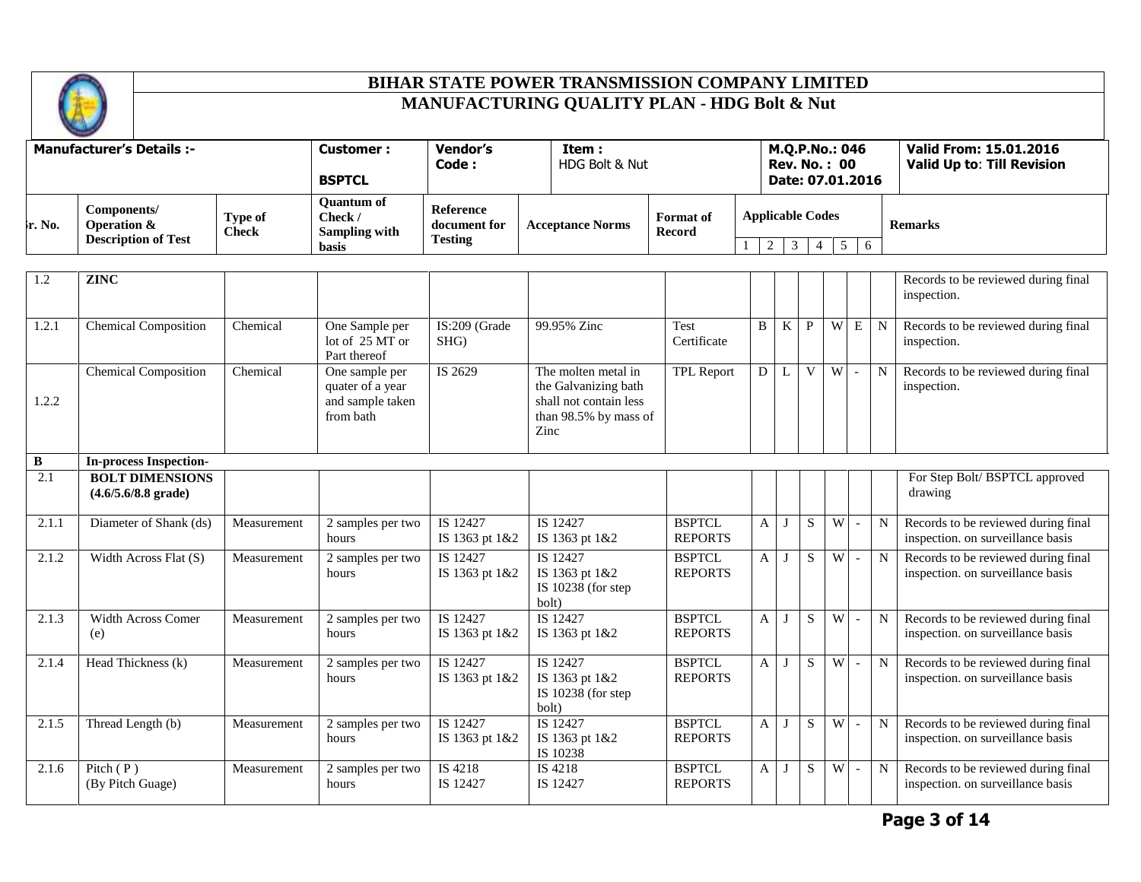

|                    | <b>Manufacturer's Details :-</b>                         |                         | Customer :<br><b>BSPTCL</b>                            | Vendor's<br>Code :                          | Item :<br>HDG Bolt & Nut |                            | M.Q.P.No.: 046<br><b>Rev. No. : 00</b><br>Date: 07.01.2016 | Valid From: 15.01.2016<br><b>Valid Up to: Till Revision</b> |
|--------------------|----------------------------------------------------------|-------------------------|--------------------------------------------------------|---------------------------------------------|--------------------------|----------------------------|------------------------------------------------------------|-------------------------------------------------------------|
| $\mathbf{r}$ . No. | Components/<br>Operation &<br><b>Description of Test</b> | Type of<br><b>Check</b> | Quantum of<br>Check /<br><b>Sampling with</b><br>basis | Reference<br>document for<br><b>Testing</b> | <b>Acceptance Norms</b>  | <b>Format</b> of<br>Record | <b>Applicable Codes</b><br>6                               | <b>Remarks</b>                                              |

| 1.2   | <b>ZINC</b>                                             |             |                                                                     |                            |                                                                                                        |                                 |   |          |    |   |                          |             | Records to be reviewed during final<br>inspection.                       |
|-------|---------------------------------------------------------|-------------|---------------------------------------------------------------------|----------------------------|--------------------------------------------------------------------------------------------------------|---------------------------------|---|----------|----|---|--------------------------|-------------|--------------------------------------------------------------------------|
| 1.2.1 | <b>Chemical Composition</b>                             | Chemical    | One Sample per<br>lot of 25 MT or<br>Part thereof                   | IS:209 (Grade<br>SHG)      | 99.95% Zinc                                                                                            | Test<br>Certificate             | B | K        | P  | W | E                        | $\mathbf N$ | Records to be reviewed during final<br>inspection.                       |
| 1.2.2 | <b>Chemical Composition</b>                             | Chemical    | One sample per<br>quater of a year<br>and sample taken<br>from bath | IS 2629                    | The molten metal in<br>the Galvanizing bath<br>shall not contain less<br>than 98.5% by mass of<br>Zinc | <b>TPL Report</b>               | D | L        | V  | W | $\sim$                   | N           | Records to be reviewed during final<br>inspection.                       |
| B     | <b>In-process Inspection-</b>                           |             |                                                                     |                            |                                                                                                        |                                 |   |          |    |   |                          |             |                                                                          |
| 2.1   | <b>BOLT DIMENSIONS</b><br>$(4.6/5.6/8.8 \text{ grade})$ |             |                                                                     |                            |                                                                                                        |                                 |   |          |    |   |                          |             | For Step Bolt/ BSPTCL approved<br>drawing                                |
| 2.1.1 | Diameter of Shank (ds)                                  | Measurement | 2 samples per two<br>hours                                          | IS 12427<br>IS 1363 pt 1&2 | IS 12427<br>IS 1363 pt 1&2                                                                             | <b>BSPTCL</b><br><b>REPORTS</b> | A | J        | S  | W | $\overline{\phantom{a}}$ | $\mathbf N$ | Records to be reviewed during final<br>inspection. on surveillance basis |
| 2.1.2 | Width Across Flat (S)                                   | Measurement | 2 samples per two<br>hours                                          | IS 12427<br>IS 1363 pt 1&2 | IS 12427<br>IS 1363 pt 1&2<br>IS $10238$ (for step<br>bolt)                                            | <b>BSPTCL</b><br><b>REPORTS</b> | A | J        | S  | W | $\sim$                   | N           | Records to be reviewed during final<br>inspection. on surveillance basis |
| 2.1.3 | Width Across Comer<br>(e)                               | Measurement | 2 samples per two<br>hours                                          | IS 12427<br>IS 1363 pt 1&2 | IS 12427<br>IS 1363 pt 1&2                                                                             | <b>BSPTCL</b><br><b>REPORTS</b> | A |          | S. | W | $\overline{\phantom{a}}$ | N           | Records to be reviewed during final<br>inspection. on surveillance basis |
| 2.1.4 | Head Thickness (k)                                      | Measurement | 2 samples per two<br>hours                                          | IS 12427<br>IS 1363 pt 1&2 | IS 12427<br>IS 1363 pt 1&2<br>IS 10238 (for step<br>bolt)                                              | <b>BSPTCL</b><br><b>REPORTS</b> | A | J        | S. | W | $\overline{\phantom{a}}$ | N           | Records to be reviewed during final<br>inspection. on surveillance basis |
| 2.1.5 | Thread Length (b)                                       | Measurement | 2 samples per two<br>hours                                          | IS 12427<br>IS 1363 pt 1&2 | IS 12427<br>IS 1363 pt 1&2<br>IS 10238                                                                 | <b>BSPTCL</b><br><b>REPORTS</b> | A | J        | S  | W | $\overline{\phantom{a}}$ | $\mathbf N$ | Records to be reviewed during final<br>inspection. on surveillance basis |
| 2.1.6 | Pitch $(P)$<br>(By Pitch Guage)                         | Measurement | 2 samples per two<br>hours                                          | IS 4218<br>IS 12427        | IS 4218<br>IS 12427                                                                                    | <b>BSPTCL</b><br><b>REPORTS</b> | A | $\lceil$ | S  | W | $\sim$                   | $\mathbf N$ | Records to be reviewed during final<br>inspection. on surveillance basis |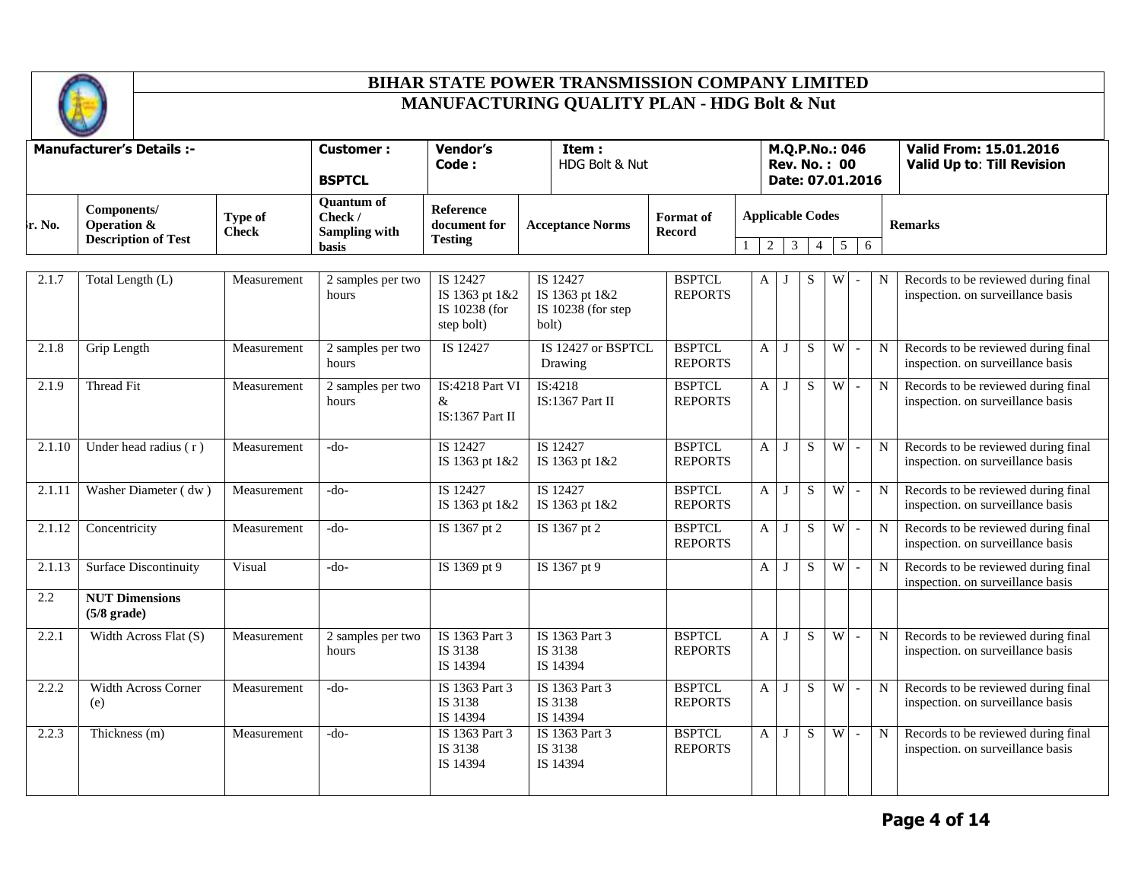

|                     | <b>Manufacturer's Details :-</b>                                    |                         | <b>Customer:</b><br><b>BSPTCL</b>                                    | <b>Vendor's</b><br>Code:                                  | Item:<br>HDG Bolt & Nut                                   |                                   |                                   |              |                |                 | M.Q.P.No.: 046<br><b>Rev. No.: 00</b><br>Date: 07.01.2016 |             | <b>Valid From: 15.01.2016</b><br>Valid Up to: Till Revision              |
|---------------------|---------------------------------------------------------------------|-------------------------|----------------------------------------------------------------------|-----------------------------------------------------------|-----------------------------------------------------------|-----------------------------------|-----------------------------------|--------------|----------------|-----------------|-----------------------------------------------------------|-------------|--------------------------------------------------------------------------|
| ե. No.              | Components/<br><b>Operation &amp;</b><br><b>Description of Test</b> | Type of<br><b>Check</b> | <b>Quantum of</b><br>Check /<br><b>Sampling with</b><br><b>basis</b> | <b>Reference</b><br>document for<br><b>Testing</b>        | <b>Acceptance Norms</b>                                   | <b>Format</b> of<br><b>Record</b> | <b>Applicable Codes</b><br>2<br>1 | 3            | $\overline{4}$ | $5\overline{)}$ | 6                                                         |             | <b>Remarks</b>                                                           |
| 2.1.7               | Total Length (L)                                                    | Measurement             | 2 samples per two<br>hours                                           | IS 12427<br>IS 1363 pt 1&2<br>IS 10238 (for<br>step bolt) | IS 12427<br>IS 1363 pt 1&2<br>IS 10238 (for step<br>bolt) | <b>BSPTCL</b><br><b>REPORTS</b>   | A                                 | J            | S              | W               |                                                           | N           | Records to be reviewed during final<br>inspection. on surveillance basis |
| 2.1.8               | Grip Length                                                         | Measurement             | 2 samples per two<br>hours                                           | IS 12427                                                  | IS 12427 or BSPTCL<br>Drawing                             | <b>BSPTCL</b><br><b>REPORTS</b>   | $\mathbf{A}$                      | J            | S              | W               | $\blacksquare$                                            | $\mathbf N$ | Records to be reviewed during final<br>inspection. on surveillance basis |
| 2.1.9               | Thread Fit                                                          | Measurement             | 2 samples per two<br>hours                                           | IS:4218 Part VI<br>&<br><b>IS:1367 Part II</b>            | IS:4218<br>IS:1367 Part II                                | <b>BSPTCL</b><br><b>REPORTS</b>   | A                                 | J            | S              | $\overline{W}$  | $\sim$                                                    | N           | Records to be reviewed during final<br>inspection. on surveillance basis |
| 2.1.10              | Under head radius (r)                                               | Measurement             | -do-                                                                 | IS 12427<br>IS 1363 pt 1&2                                | IS 12427<br>IS 1363 pt 1&2                                | <b>BSPTCL</b><br><b>REPORTS</b>   | $\mathbf{A}$                      | J            | S              | W               | $\blacksquare$                                            | N           | Records to be reviewed during final<br>inspection. on surveillance basis |
| 2.1.11              | Washer Diameter (dw)                                                | Measurement             | $-do-$                                                               | IS 12427<br>IS 1363 pt 1&2                                | IS 12427<br>IS 1363 pt 1&2                                | <b>BSPTCL</b><br><b>REPORTS</b>   | $\mathbf{A}$                      | J            | S              | W               | $\mathbb{L}$                                              | N           | Records to be reviewed during final<br>inspection. on surveillance basis |
| 2.1.12              | Concentricity                                                       | Measurement             | $-do-$                                                               | IS 1367 pt 2                                              | IS 1367 pt 2                                              | <b>BSPTCL</b><br><b>REPORTS</b>   | $\mathsf{A}$                      | $\mathbf{J}$ | S              | $\overline{W}$  | $\sim$                                                    | N           | Records to be reviewed during final<br>inspection. on surveillance basis |
| $\overline{2.1.13}$ | <b>Surface Discontinuity</b>                                        | Visual                  | -do-                                                                 | IS 1369 pt 9                                              | IS 1367 pt 9                                              |                                   | $\mathbf{A}$                      | J            | S              | W               | $\overline{\phantom{a}}$                                  | N           | Records to be reviewed during final<br>inspection. on surveillance basis |
| 2.2                 | <b>NUT Dimensions</b><br>$(5/8 \text{ grade})$                      |                         |                                                                      |                                                           |                                                           |                                   |                                   |              |                |                 |                                                           |             |                                                                          |
| 2.2.1               | Width Across Flat (S)                                               | Measurement             | 2 samples per two<br>hours                                           | IS 1363 Part 3<br>IS 3138<br>IS 14394                     | IS 1363 Part 3<br>IS 3138<br>IS 14394                     | <b>BSPTCL</b><br><b>REPORTS</b>   | A                                 | J            | S              | W               | $\sim$                                                    | N           | Records to be reviewed during final<br>inspection. on surveillance basis |
| 2.2.2               | Width Across Corner<br>(e)                                          | Measurement             | $-do-$                                                               | IS 1363 Part 3<br>IS 3138<br>IS 14394                     | IS 1363 Part 3<br>IS 3138<br>IS 14394                     | <b>BSPTCL</b><br><b>REPORTS</b>   | A                                 | J            | S              | W               | $\sim$                                                    | N           | Records to be reviewed during final<br>inspection. on surveillance basis |
| 2.2.3               | Thickness (m)                                                       | Measurement             | $-do-$                                                               | IS 1363 Part 3<br>IS 3138<br>IS 14394                     | IS 1363 Part 3<br>IS 3138<br>IS 14394                     | <b>BSPTCL</b><br><b>REPORTS</b>   | A                                 | J            | S              | W               | $\overline{\phantom{a}}$                                  | N           | Records to be reviewed during final<br>inspection. on surveillance basis |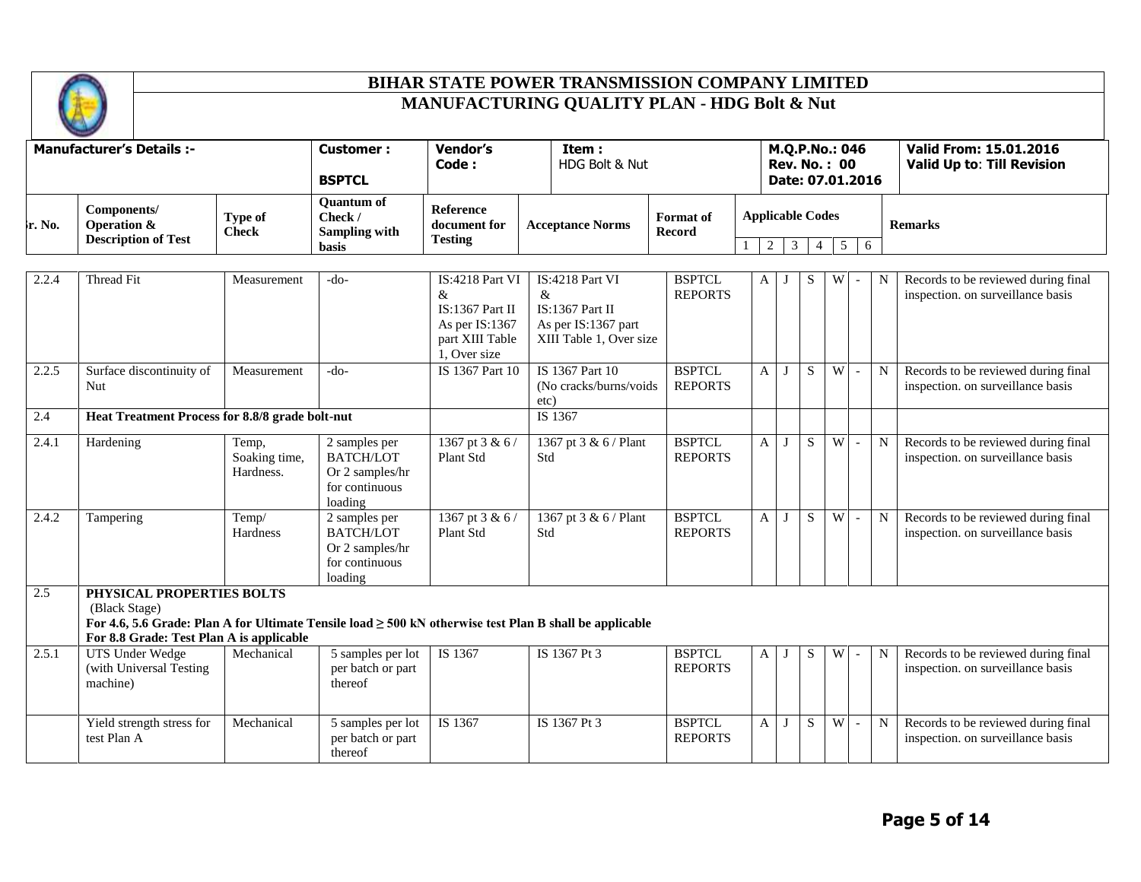

|                  | <b>Change of Care</b>                                    |                         |                                                        |                                             |                         |                         |                            |  |                         |                                                             |
|------------------|----------------------------------------------------------|-------------------------|--------------------------------------------------------|---------------------------------------------|-------------------------|-------------------------|----------------------------|--|-------------------------|-------------------------------------------------------------|
|                  | <b>Manufacturer's Details:-</b>                          |                         | <b>Customer :</b>                                      | <b>Vendor's</b><br>Code:                    | Item:<br>HDG Bolt & Nut |                         |                            |  |                         | Valid From: 15.01.2016<br><b>Valid Up to: Till Revision</b> |
|                  |                                                          |                         | <b>BSPTCL</b>                                          |                                             |                         |                         |                            |  | Date: 07.01.2016        |                                                             |
| $\lambda$ r. No. | Components/<br>Operation &<br><b>Description of Test</b> | Type of<br><b>Check</b> | Ouantum of<br>Check /<br>Sampling with<br><b>basis</b> | Reference<br>document for<br><b>Testing</b> |                         | <b>Acceptance Norms</b> | <b>Format</b> of<br>Record |  | <b>Applicable Codes</b> | <b>Remarks</b>                                              |

| 2.2.4 | Thread Fit                                                                                                                                               | Measurement                         | $-do-$                                                                            | IS:4218 Part VI<br>&<br>$IS:1367$ Part II<br>As per IS:1367<br>part XIII Table<br>1, Over size | IS:4218 Part VI<br>$\&$<br>$IS:1367$ Part II<br>As per IS:1367 part<br>XIII Table 1, Over size | <b>BSPTCL</b><br><b>REPORTS</b> | $\mathbf{A}$ | $\bf{J}$ | S  | W     | $\sim$                   | N | Records to be reviewed during final<br>inspection. on surveillance basis |
|-------|----------------------------------------------------------------------------------------------------------------------------------------------------------|-------------------------------------|-----------------------------------------------------------------------------------|------------------------------------------------------------------------------------------------|------------------------------------------------------------------------------------------------|---------------------------------|--------------|----------|----|-------|--------------------------|---|--------------------------------------------------------------------------|
| 2.2.5 | Surface discontinuity of<br><b>Nut</b>                                                                                                                   | Measurement                         | $-do-$                                                                            | IS 1367 Part 10                                                                                | IS 1367 Part 10<br>(No cracks/burns/voids<br>etc)                                              | <b>BSPTCL</b><br><b>REPORTS</b> | A            | J        | S. | $W -$ |                          | N | Records to be reviewed during final<br>inspection. on surveillance basis |
| 2.4   | Heat Treatment Process for 8.8/8 grade bolt-nut                                                                                                          |                                     |                                                                                   |                                                                                                | IS 1367                                                                                        |                                 |              |          |    |       |                          |   |                                                                          |
| 2.4.1 | Hardening                                                                                                                                                | Temp,<br>Soaking time,<br>Hardness. | 2 samples per<br><b>BATCH/LOT</b><br>Or 2 samples/hr<br>for continuous<br>loading | 1367 pt 3 & 6 /<br>Plant Std                                                                   | 1367 pt 3 & 6 / Plant<br>Std                                                                   | <b>BSPTCL</b><br><b>REPORTS</b> | A            | J        | S  | W     | $\sim$                   | N | Records to be reviewed during final<br>inspection. on surveillance basis |
| 2.4.2 | Tampering                                                                                                                                                | Temp/<br>Hardness                   | 2 samples per<br><b>BATCH/LOT</b><br>Or 2 samples/hr<br>for continuous<br>loading | 1367 pt 3 & 6/<br>Plant Std                                                                    | 1367 pt 3 & 6 / Plant<br>Std                                                                   | <b>BSPTCL</b><br><b>REPORTS</b> | A            | J        | S. | W     | $\sim$                   | N | Records to be reviewed during final<br>inspection. on surveillance basis |
| 2.5   | PHYSICAL PROPERTIES BOLTS<br>(Black Stage)                                                                                                               |                                     |                                                                                   |                                                                                                |                                                                                                |                                 |              |          |    |       |                          |   |                                                                          |
|       | For 4.6, 5.6 Grade: Plan A for Ultimate Tensile load $\geq$ 500 kN otherwise test Plan B shall be applicable<br>For 8.8 Grade: Test Plan A is applicable |                                     |                                                                                   |                                                                                                |                                                                                                |                                 |              |          |    |       |                          |   |                                                                          |
| 2.5.1 | <b>UTS Under Wedge</b><br>(with Universal Testing<br>machine)                                                                                            | Mechanical                          | $\overline{5}$ samples per lot<br>per batch or part<br>thereof                    | IS 1367                                                                                        | IS 1367 Pt 3                                                                                   | <b>BSPTCL</b><br><b>REPORTS</b> | A            |          | S  | W     | $\overline{\phantom{a}}$ | N | Records to be reviewed during final<br>inspection. on surveillance basis |
|       | Yield strength stress for<br>test Plan A                                                                                                                 | Mechanical                          | 5 samples per lot<br>per batch or part<br>thereof                                 | IS 1367                                                                                        | IS 1367 Pt 3                                                                                   | <b>BSPTCL</b><br><b>REPORTS</b> | A            |          | S  | W     | $\sim$                   | N | Records to be reviewed during final<br>inspection. on surveillance basis |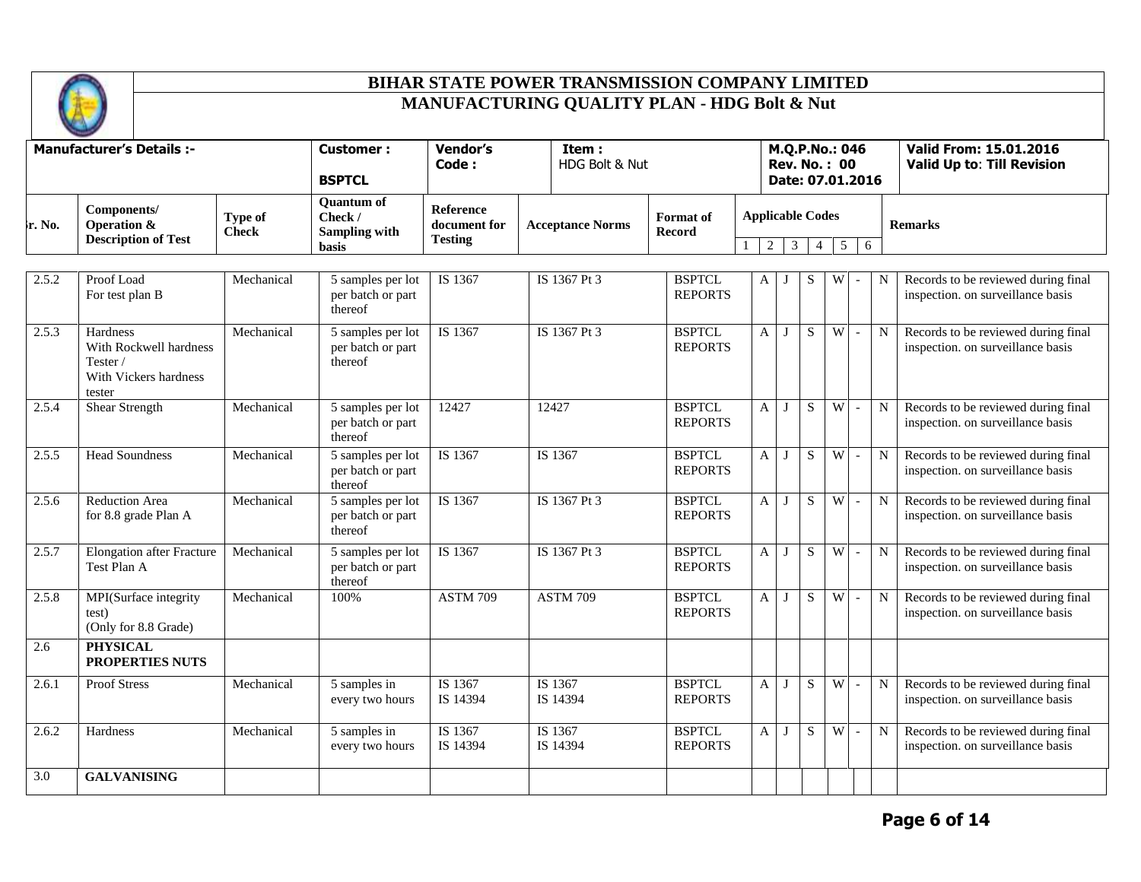

|        | <b>Manufacturer's Details :-</b>                                                  |                         | Vendor's<br>Item:<br><b>Customer :</b><br>Code:<br><b>BSPTCL</b>     |                                                    |  | HDG Bolt & Nut          |                                 |              |                | M.Q.P.No.: 046<br><b>Rev. No.: 00</b><br>Date: 07.01.2016 |                     |                          |   | <b>Valid From: 15.01.2016</b><br><b>Valid Up to: Till Revision</b>       |
|--------|-----------------------------------------------------------------------------------|-------------------------|----------------------------------------------------------------------|----------------------------------------------------|--|-------------------------|---------------------------------|--------------|----------------|-----------------------------------------------------------|---------------------|--------------------------|---|--------------------------------------------------------------------------|
| ե. No. | Components/<br><b>Operation &amp;</b><br><b>Description of Test</b>               | Type of<br><b>Check</b> | <b>Quantum of</b><br>Check /<br><b>Sampling with</b><br><b>basis</b> | <b>Reference</b><br>document for<br><b>Testing</b> |  | <b>Acceptance Norms</b> | <b>Format</b> of<br>Record      |              | $\overline{2}$ | <b>Applicable Codes</b><br>$\mathbf{3}$                   | 5<br>$\overline{4}$ | 6                        |   | <b>Remarks</b>                                                           |
| 2.5.2  | Proof Load<br>For test plan B                                                     | Mechanical              | 5 samples per lot<br>per batch or part<br>thereof                    | IS 1367                                            |  | IS 1367 Pt 3            | <b>BSPTCL</b><br><b>REPORTS</b> | A            | $\cdot$        | S                                                         | W                   |                          | N | Records to be reviewed during final<br>inspection. on surveillance basis |
| 2.5.3  | Hardness<br>With Rockwell hardness<br>Tester /<br>With Vickers hardness<br>tester | Mechanical              | 5 samples per lot<br>per batch or part<br>thereof                    | IS 1367                                            |  | IS 1367 Pt 3            | <b>BSPTCL</b><br><b>REPORTS</b> | A            | J              | S                                                         | W                   | $\sim$                   | N | Records to be reviewed during final<br>inspection. on surveillance basis |
| 2.5.4  | <b>Shear Strength</b>                                                             | Mechanical              | 5 samples per lot<br>per batch or part<br>thereof                    | 12427                                              |  | 12427                   | <b>BSPTCL</b><br><b>REPORTS</b> | $\mathbf{A}$ | J              | S                                                         | W                   | $\sim$                   | N | Records to be reviewed during final<br>inspection. on surveillance basis |
| 2.5.5  | <b>Head Soundness</b>                                                             | Mechanical              | 5 samples per lot<br>per batch or part<br>thereof                    | IS 1367                                            |  | IS 1367                 | <b>BSPTCL</b><br><b>REPORTS</b> | A            | J              | S                                                         | W                   | $\sim$                   | N | Records to be reviewed during final<br>inspection. on surveillance basis |
| 2.5.6  | <b>Reduction Area</b><br>for 8.8 grade Plan A                                     | Mechanical              | 5 samples per lot<br>per batch or part<br>thereof                    | IS 1367                                            |  | IS 1367 Pt 3            | <b>BSPTCL</b><br><b>REPORTS</b> | A            | $\bf{J}$       | S                                                         | W                   | $\blacksquare$           | N | Records to be reviewed during final<br>inspection. on surveillance basis |
| 2.5.7  | <b>Elongation after Fracture</b><br>Test Plan A                                   | Mechanical              | 5 samples per lot<br>per batch or part<br>thereof                    | IS 1367                                            |  | IS 1367 Pt 3            | <b>BSPTCL</b><br><b>REPORTS</b> | A            | J              | S                                                         | W                   | $\blacksquare$           | N | Records to be reviewed during final<br>inspection. on surveillance basis |
| 2.5.8  | MPI(Surface integrity<br>test)<br>(Only for 8.8 Grade)                            | Mechanical              | 100%                                                                 | <b>ASTM 709</b>                                    |  | <b>ASTM 709</b>         | <b>BSPTCL</b><br><b>REPORTS</b> | A            | J              | S                                                         | W                   | $\sim$                   | N | Records to be reviewed during final<br>inspection. on surveillance basis |
| 2.6    | <b>PHYSICAL</b><br><b>PROPERTIES NUTS</b>                                         |                         |                                                                      |                                                    |  |                         |                                 |              |                |                                                           |                     |                          |   |                                                                          |
| 2.6.1  | <b>Proof Stress</b>                                                               | Mechanical              | 5 samples in<br>every two hours                                      | IS 1367<br>IS 14394                                |  | IS 1367<br>IS 14394     | <b>BSPTCL</b><br><b>REPORTS</b> | A            | J              | S                                                         | W                   | $\blacksquare$           | N | Records to be reviewed during final<br>inspection. on surveillance basis |
| 2.6.2  | Hardness                                                                          | Mechanical              | 5 samples in<br>every two hours                                      | IS 1367<br>IS 14394                                |  | IS 1367<br>IS 14394     | <b>BSPTCL</b><br><b>REPORTS</b> | A            | J              | S                                                         | $\overline{W}$      | $\overline{\phantom{a}}$ | N | Records to be reviewed during final<br>inspection. on surveillance basis |
| 3.0    | <b>GALVANISING</b>                                                                |                         |                                                                      |                                                    |  |                         |                                 |              |                |                                                           |                     |                          |   |                                                                          |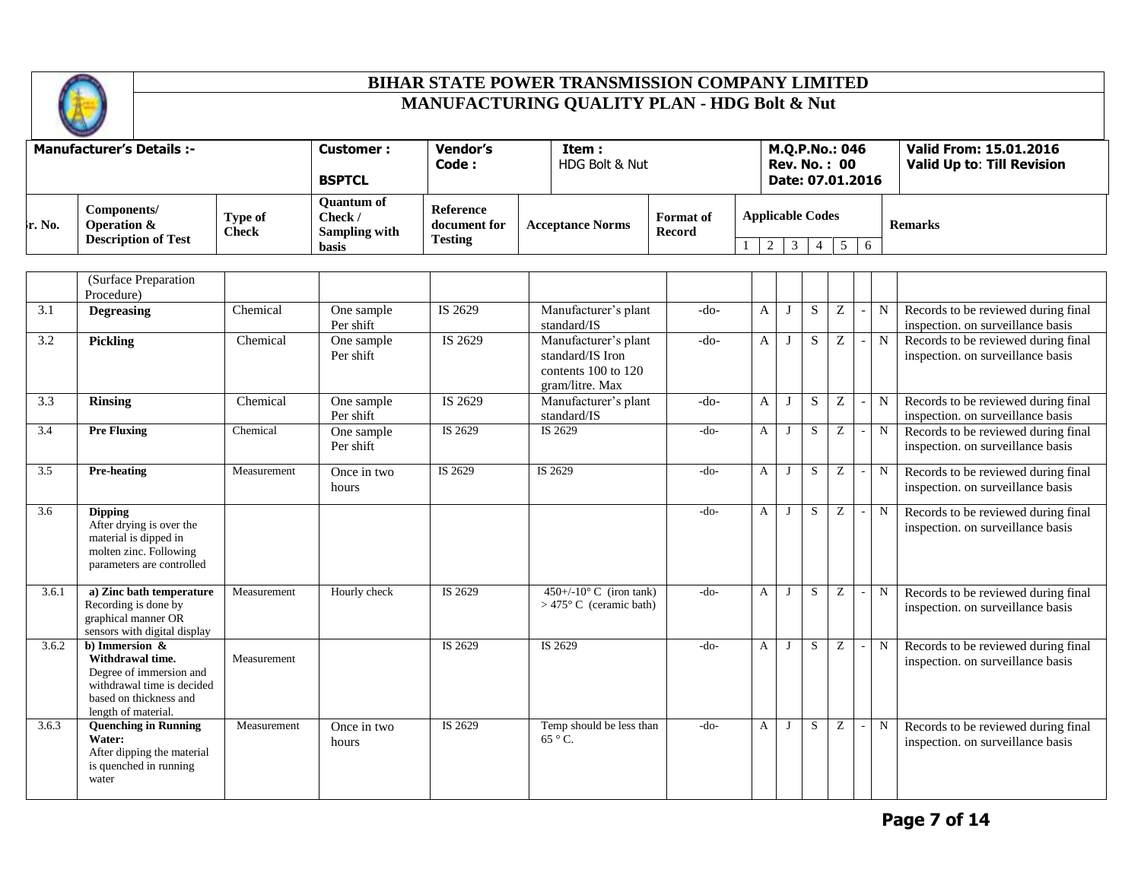

|                                 | <b>Change Card</b>                                       |                         |                                                               |                                                      |  |                         |                            |  |                                        |                                                             |
|---------------------------------|----------------------------------------------------------|-------------------------|---------------------------------------------------------------|------------------------------------------------------|--|-------------------------|----------------------------|--|----------------------------------------|-------------------------------------------------------------|
| <b>Manufacturer's Details:-</b> |                                                          |                         | <b>Customer :</b>                                             | <b>Vendor's</b><br>Item:<br>HDG Bolt & Nut<br>Code : |  |                         |                            |  | M.Q.P.No.: 046<br><b>Rev. No. : 00</b> | Valid From: 15.01.2016<br><b>Valid Up to: Till Revision</b> |
|                                 |                                                          |                         | <b>BSPTCL</b>                                                 |                                                      |  |                         |                            |  | Date: 07.01.2016                       |                                                             |
| $\mathbf{r}$ . No.              | Components/<br>Operation &<br><b>Description of Test</b> | Type of<br><b>Check</b> | <b>Ouantum of</b><br>Check /<br><b>Sampling with</b><br>basis | <b>Reference</b><br>document for<br><b>Testing</b>   |  | <b>Acceptance Norms</b> | <b>Format</b> of<br>Record |  | <b>Applicable Codes</b><br>6           | <b>Remarks</b>                                              |

|       | (Surface Preparation<br>Procedure)                                                                                                              |             |                         |         |                                                                                        |        |   |   |             |   |   |                                                                          |
|-------|-------------------------------------------------------------------------------------------------------------------------------------------------|-------------|-------------------------|---------|----------------------------------------------------------------------------------------|--------|---|---|-------------|---|---|--------------------------------------------------------------------------|
| 3.1   | <b>Degreasing</b>                                                                                                                               | Chemical    | One sample<br>Per shift | IS 2629 | Manufacturer's plant<br>standard/IS                                                    | $-do-$ | A |   | $\mathbf S$ | Z | N | Records to be reviewed during final<br>inspection. on surveillance basis |
| 3.2   | <b>Pickling</b>                                                                                                                                 | Chemical    | One sample<br>Per shift | IS 2629 | Manufacturer's plant<br>standard/IS Iron<br>contents $100$ to $120$<br>gram/litre. Max | $-do-$ | A |   | S.          | Z | N | Records to be reviewed during final<br>inspection. on surveillance basis |
| 3.3   | <b>Rinsing</b>                                                                                                                                  | Chemical    | One sample<br>Per shift | IS 2629 | Manufacturer's plant<br>standard/IS                                                    | $-do-$ | A |   | S           | Z | N | Records to be reviewed during final<br>inspection. on surveillance basis |
| 3.4   | <b>Pre Fluxing</b>                                                                                                                              | Chemical    | One sample<br>Per shift | IS 2629 | IS 2629                                                                                | $-do-$ | A | J | S           | Z | N | Records to be reviewed during final<br>inspection. on surveillance basis |
| 3.5   | <b>Pre-heating</b>                                                                                                                              | Measurement | Once in two<br>hours    | IS 2629 | IS 2629                                                                                | $-do-$ | A |   | S           | Z | N | Records to be reviewed during final<br>inspection. on surveillance basis |
| 3.6   | <b>Dipping</b><br>After drying is over the<br>material is dipped in<br>molten zinc. Following<br>parameters are controlled                      |             |                         |         |                                                                                        | $-do-$ | A |   | S           | Ζ | N | Records to be reviewed during final<br>inspection. on surveillance basis |
| 3.6.1 | a) Zinc bath temperature<br>Recording is done by<br>graphical manner OR<br>sensors with digital display                                         | Measurement | Hourly check            | IS 2629 | $450+/-10^{\circ}$ C (iron tank)<br>$>475^{\circ}$ C (ceramic bath)                    | $-do-$ | A |   | S           | Z | N | Records to be reviewed during final<br>inspection. on surveillance basis |
| 3.6.2 | b) Immersion $\&$<br>Withdrawal time.<br>Degree of immersion and<br>withdrawal time is decided<br>based on thickness and<br>length of material. | Measurement |                         | IS 2629 | IS 2629                                                                                | $-do-$ | A |   | S           | Z | N | Records to be reviewed during final<br>inspection. on surveillance basis |
| 3.6.3 | <b>Quenching in Running</b><br>Water:<br>After dipping the material<br>is quenched in running<br>water                                          | Measurement | Once in two<br>hours    | IS 2629 | Temp should be less than<br>$65^{\circ}$ C.                                            | $-do-$ | A |   | S           | Z | N | Records to be reviewed during final<br>inspection. on surveillance basis |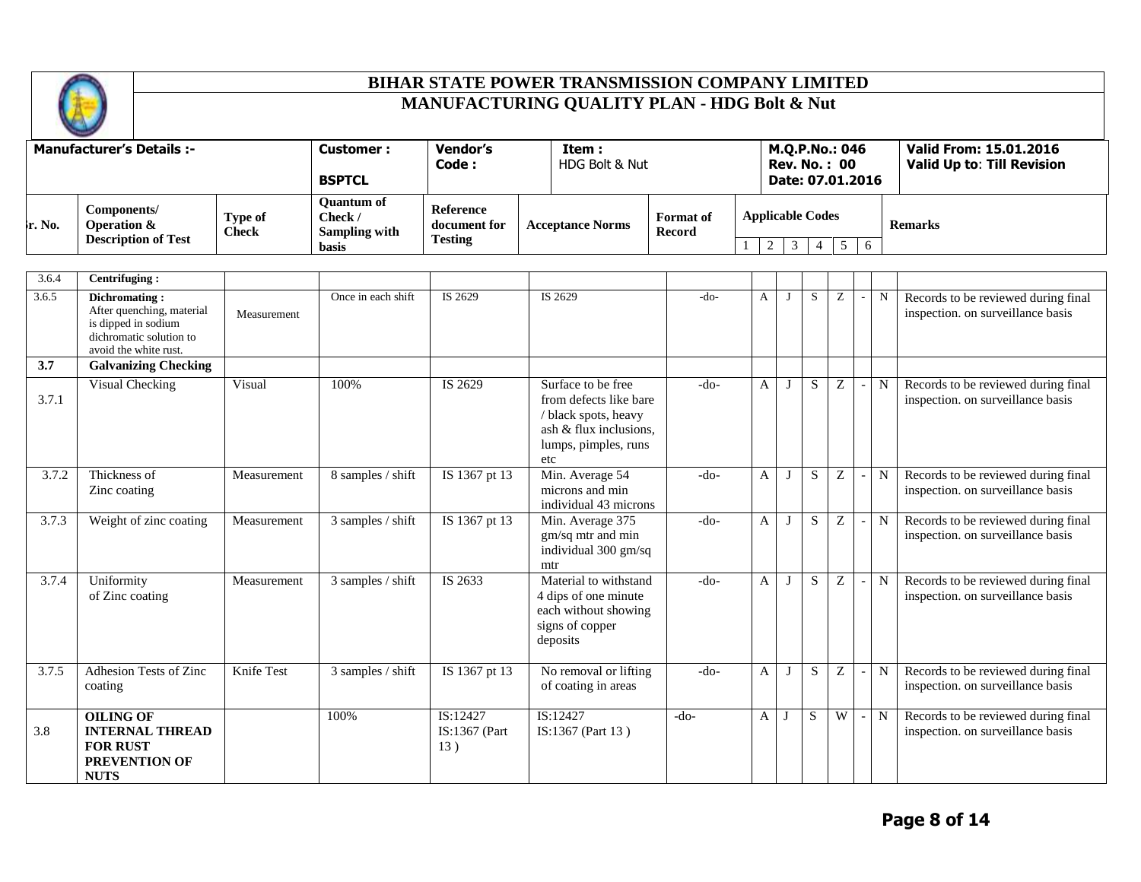

|                    | <b>Change of Care</b>                                    |                         |                                                               |                                             |                          |                     |                                                            |  |                                                             |
|--------------------|----------------------------------------------------------|-------------------------|---------------------------------------------------------------|---------------------------------------------|--------------------------|---------------------|------------------------------------------------------------|--|-------------------------------------------------------------|
|                    | <b>Manufacturer's Details :-</b>                         |                         | <b>Customer :</b><br><b>BSPTCL</b>                            | Vendor's<br>Code :                          | Item :<br>HDG Bolt & Nut |                     | M.Q.P.No.: 046<br><b>Rev. No. : 00</b><br>Date: 07.01.2016 |  | Valid From: 15.01.2016<br><b>Valid Up to: Till Revision</b> |
| $\mathbf{r}$ . No. | Components/<br>Operation &<br><b>Description of Test</b> | Type of<br><b>Check</b> | <b>Ouantum of</b><br>Check /<br><b>Sampling with</b><br>basis | Reference<br>document for<br><b>Testing</b> | <b>Acceptance Norms</b>  | Format of<br>Record | <b>Applicable Codes</b>                                    |  | <b>Remarks</b>                                              |

| 3.6.4 | Centrifuging:                                                                                                                |             |                    |                                  |                                                                                                                               |        |   |   |   |   |                                                                          |
|-------|------------------------------------------------------------------------------------------------------------------------------|-------------|--------------------|----------------------------------|-------------------------------------------------------------------------------------------------------------------------------|--------|---|---|---|---|--------------------------------------------------------------------------|
| 3.6.5 | <b>Dichromating:</b><br>After quenching, material<br>is dipped in sodium<br>dichromatic solution to<br>avoid the white rust. | Measurement | Once in each shift | IS 2629                          | IS 2629                                                                                                                       | $-do-$ | A | S | Z | N | Records to be reviewed during final<br>inspection. on surveillance basis |
| 3.7   | <b>Galvanizing Checking</b>                                                                                                  |             |                    |                                  |                                                                                                                               |        |   |   |   |   |                                                                          |
| 3.7.1 | Visual Checking                                                                                                              | Visual      | 100%               | IS 2629                          | Surface to be free<br>from defects like bare<br>/ black spots, heavy<br>ash & flux inclusions.<br>lumps, pimples, runs<br>etc | $-do-$ | A | S | Z | N | Records to be reviewed during final<br>inspection. on surveillance basis |
| 3.7.2 | Thickness of<br>Zinc coating                                                                                                 | Measurement | 8 samples / shift  | IS 1367 pt 13                    | Min. Average 54<br>microns and min<br>individual 43 microns                                                                   | $-do-$ | A | S | Z | N | Records to be reviewed during final<br>inspection. on surveillance basis |
| 3.7.3 | Weight of zinc coating                                                                                                       | Measurement | 3 samples / shift  | IS 1367 pt 13                    | Min. Average 375<br>gm/sq mtr and min<br>individual 300 gm/sq<br>mtr                                                          | $-do-$ | A | S | Z | N | Records to be reviewed during final<br>inspection. on surveillance basis |
| 3.7.4 | Uniformity<br>of Zinc coating                                                                                                | Measurement | 3 samples / shift  | IS 2633                          | Material to withstand<br>4 dips of one minute<br>each without showing<br>signs of copper<br>deposits                          | $-do-$ | A | S | Z | N | Records to be reviewed during final<br>inspection. on surveillance basis |
| 3.7.5 | Adhesion Tests of Zinc<br>coating                                                                                            | Knife Test  | 3 samples / shift  | IS 1367 pt 13                    | No removal or lifting<br>of coating in areas                                                                                  | $-do-$ | A | S | Z | N | Records to be reviewed during final<br>inspection. on surveillance basis |
| 3.8   | <b>OILING OF</b><br><b>INTERNAL THREAD</b><br><b>FOR RUST</b><br><b>PREVENTION OF</b><br><b>NUTS</b>                         |             | 100%               | IS:12427<br>IS:1367 (Part<br>13) | IS:12427<br>IS:1367 (Part 13)                                                                                                 | $-do-$ | A | S | W | N | Records to be reviewed during final<br>inspection. on surveillance basis |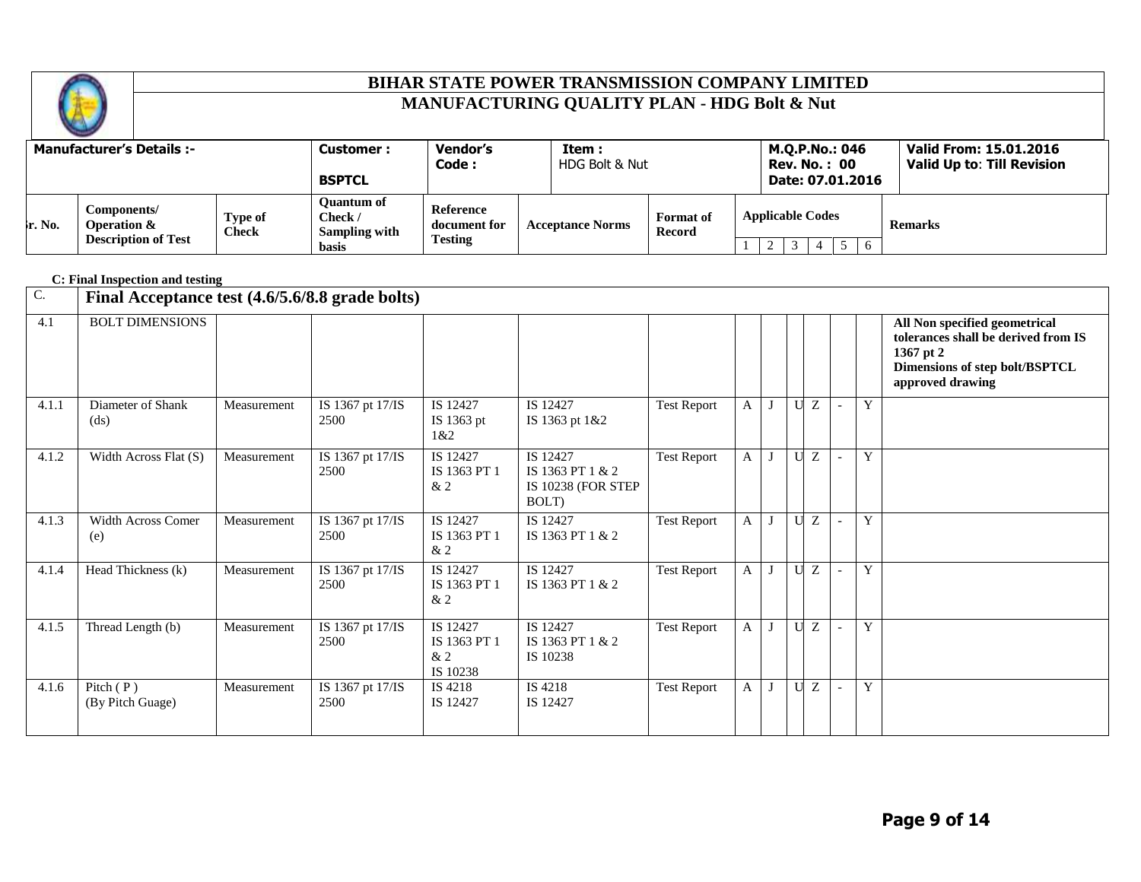

|                    | <b>Contract of</b>                                       |                         |                                                               |                                                    |                         |                            |                                                            |                                                             |
|--------------------|----------------------------------------------------------|-------------------------|---------------------------------------------------------------|----------------------------------------------------|-------------------------|----------------------------|------------------------------------------------------------|-------------------------------------------------------------|
|                    | <b>Manufacturer's Details :-</b>                         |                         | <b>Customer :</b><br><b>BSPTCL</b>                            | Vendor's<br>Code :                                 | Item:<br>HDG Bolt & Nut |                            | M.Q.P.No.: 046<br><b>Rev. No. : 00</b><br>Date: 07.01.2016 | Valid From: 15.01.2016<br><b>Valid Up to: Till Revision</b> |
| $\mathbf{r}$ . No. | Components/<br>Operation &<br><b>Description of Test</b> | Type of<br><b>Check</b> | <b>Ouantum of</b><br>Check /<br>Sampling with<br><b>basis</b> | <b>Reference</b><br>document for<br><b>Testing</b> | <b>Acceptance Norms</b> | <b>Format</b> of<br>Record | <b>Applicable Codes</b><br>6                               | <b>Remarks</b>                                              |

|                  | C: Final Inspection and testing                 |             |                          |                                            |                                                             |                    |   |              |             |    |                          |   |                                                                                                                                         |
|------------------|-------------------------------------------------|-------------|--------------------------|--------------------------------------------|-------------------------------------------------------------|--------------------|---|--------------|-------------|----|--------------------------|---|-----------------------------------------------------------------------------------------------------------------------------------------|
| $\overline{C}$ . | Final Acceptance test (4.6/5.6/8.8 grade bolts) |             |                          |                                            |                                                             |                    |   |              |             |    |                          |   |                                                                                                                                         |
| 4.1              | <b>BOLT DIMENSIONS</b>                          |             |                          |                                            |                                                             |                    |   |              |             |    |                          |   | All Non specified geometrical<br>tolerances shall be derived from IS<br>1367 pt 2<br>Dimensions of step bolt/BSPTCL<br>approved drawing |
| 4.1.1            | Diameter of Shank<br>(ds)                       | Measurement | IS 1367 pt 17/IS<br>2500 | IS 12427<br>IS 1363 pt<br>1&2              | IS 12427<br>IS 1363 pt 1&2                                  | <b>Test Report</b> | A | J            | $\mathbf U$ | Z  |                          | Y |                                                                                                                                         |
| 4.1.2            | Width Across Flat (S)                           | Measurement | IS 1367 pt 17/IS<br>2500 | IS 12427<br>IS 1363 PT 1<br>&2             | IS 12427<br>IS 1363 PT 1 & 2<br>IS 10238 (FOR STEP<br>BOLT) | <b>Test Report</b> | A | J            |             | UZ |                          | Y |                                                                                                                                         |
| 4.1.3            | <b>Width Across Comer</b><br>(e)                | Measurement | IS 1367 pt 17/IS<br>2500 | IS 12427<br>IS 1363 PT 1<br>&2             | IS 12427<br>IS 1363 PT 1 & 2                                | <b>Test Report</b> | A | J            | U           | Z  | $\overline{\phantom{a}}$ | Y |                                                                                                                                         |
| 4.1.4            | Head Thickness (k)                              | Measurement | IS 1367 pt 17/IS<br>2500 | IS 12427<br>IS 1363 PT 1<br>&2             | IS 12427<br>IS 1363 PT 1 & 2                                | <b>Test Report</b> | A | J            | $\mathbf U$ | Z  |                          | Y |                                                                                                                                         |
| 4.1.5            | Thread Length (b)                               | Measurement | IS 1367 pt 17/IS<br>2500 | IS 12427<br>IS 1363 PT 1<br>&2<br>IS 10238 | IS 12427<br>IS 1363 PT 1 & 2<br>IS 10238                    | <b>Test Report</b> | A | J            | $\mathbf U$ | Z  |                          | Y |                                                                                                                                         |
| 4.1.6            | Pitch $(P)$<br>(By Pitch Guage)                 | Measurement | IS 1367 pt 17/IS<br>2500 | IS 4218<br>IS 12427                        | IS 4218<br>IS 12427                                         | <b>Test Report</b> | A | $\mathbf{J}$ | U           | Z  |                          | Y |                                                                                                                                         |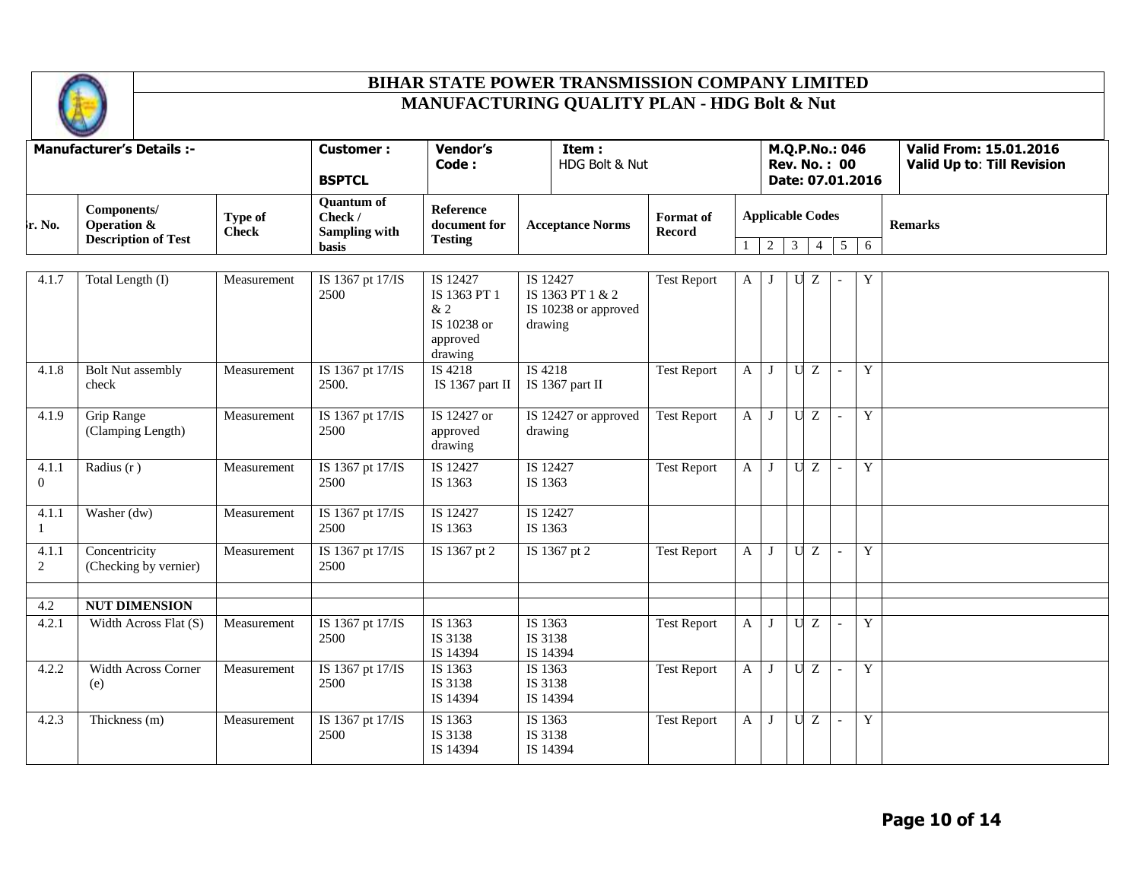

| <b>Manufacturer's Details :-</b> |                                                          |                                |                                                        |                                                                          |                                                                 |                            |              |                              |                |                |                                       |                  |                                                             |
|----------------------------------|----------------------------------------------------------|--------------------------------|--------------------------------------------------------|--------------------------------------------------------------------------|-----------------------------------------------------------------|----------------------------|--------------|------------------------------|----------------|----------------|---------------------------------------|------------------|-------------------------------------------------------------|
|                                  |                                                          |                                | <b>Customer:</b><br><b>BSPTCL</b>                      | <b>Vendor's</b><br>Code:                                                 | Item:<br>HDG Bolt & Nut                                         |                            |              |                              |                |                | M.Q.P.No.: 046<br><b>Rev. No.: 00</b> | Date: 07.01.2016 | Valid From: 15.01.2016<br><b>Valid Up to: Till Revision</b> |
| lr. No.                          | Components/<br>Operation &<br><b>Description of Test</b> | <b>Type of</b><br><b>Check</b> | <b>Quantum of</b><br>Check /<br>Sampling with<br>basis | <b>Reference</b><br>document for<br><b>Testing</b>                       | <b>Acceptance Norms</b>                                         | Format of<br><b>Record</b> |              | <b>Applicable Codes</b><br>2 | $\overline{3}$ | $\overline{4}$ | $\overline{5}$                        | 6                | <b>Remarks</b>                                              |
|                                  |                                                          |                                |                                                        |                                                                          |                                                                 |                            |              |                              |                |                |                                       |                  |                                                             |
| 4.1.7                            | Total Length (I)                                         | Measurement                    | IS 1367 pt 17/IS<br>2500                               | IS 12427<br>IS 1363 PT 1<br>$\&$ 2<br>IS 10238 or<br>approved<br>drawing | IS 12427<br>IS 1363 PT 1 & 2<br>IS 10238 or approved<br>drawing | <b>Test Report</b>         | A            |                              | U              | Z              |                                       | Y                |                                                             |
| 4.1.8                            | <b>Bolt Nut assembly</b><br>check                        | Measurement                    | IS 1367 pt 17/IS<br>2500.                              | IS 4218<br>IS $1367$ part II                                             | IS 4218<br>IS 1367 part II                                      | <b>Test Report</b>         | $\mathbf{A}$ |                              | U              | Z              | $\overline{\phantom{a}}$              | Y                |                                                             |
| 4.1.9                            | <b>Grip Range</b><br>(Clamping Length)                   | Measurement                    | IS 1367 pt 17/IS<br>2500                               | IS 12427 or<br>approved<br>drawing                                       | IS 12427 or approved<br>drawing                                 | <b>Test Report</b>         | $\mathbf{A}$ | $\bf{J}$                     | U              | Z              |                                       | Y                |                                                             |
| 4.1.1<br>$\overline{0}$          | Radius $(r)$                                             | Measurement                    | IS 1367 pt 17/IS<br>2500                               | IS 12427<br>IS 1363                                                      | IS 12427<br>IS 1363                                             | <b>Test Report</b>         | $\mathbf{A}$ | $\bf{J}$                     | $\mathbf{U}$   | $\overline{z}$ | $\overline{\phantom{a}}$              | Y                |                                                             |
| 4.1.1<br>$\mathbf{1}$            | Washer (dw)                                              | Measurement                    | IS 1367 pt 17/IS<br>2500                               | IS 12427<br>IS 1363                                                      | IS 12427<br>IS 1363                                             |                            |              |                              |                |                |                                       |                  |                                                             |
| 4.1.1<br>2                       | Concentricity<br>(Checking by vernier)                   | Measurement                    | IS 1367 pt 17/IS<br>2500                               | IS 1367 pt 2                                                             | IS 1367 pt 2                                                    | <b>Test Report</b>         | $\mathbf{A}$ | $\bf{J}$                     | $\mathbf{U}$   | $\overline{z}$ | $\sim$                                | $\overline{Y}$   |                                                             |
| 4.2                              | <b>NUT DIMENSION</b>                                     |                                |                                                        |                                                                          |                                                                 |                            |              |                              |                |                |                                       |                  |                                                             |
| 4.2.1                            | Width Across Flat (S)                                    | Measurement                    | IS 1367 pt 17/IS<br>2500                               | IS 1363<br>IS 3138<br>IS 14394                                           | IS 1363<br>IS 3138<br>IS 14394                                  | <b>Test Report</b>         | A            |                              | U              | Z              | $\overline{\phantom{a}}$              | Y                |                                                             |
| 4.2.2                            | Width Across Corner<br>(e)                               | Measurement                    | IS 1367 pt 17/IS<br>2500                               | IS 1363<br>IS 3138<br>IS 14394                                           | IS 1363<br>IS 3138<br>IS 14394                                  | <b>Test Report</b>         | $\mathbf{A}$ | $\bf{I}$                     | $\mathbf{U}$   | Z              | $\mathcal{L}$                         | Y                |                                                             |
| 4.2.3                            | Thickness (m)                                            | Measurement                    | IS 1367 pt 17/IS<br>2500                               | IS 1363<br>IS 3138<br>IS 14394                                           | IS 1363<br>IS 3138<br>IS 14394                                  | Test Report                | $\mathbf{A}$ | $\bf{J}$                     | $\mathbf U$    | $\overline{z}$ |                                       | Y                |                                                             |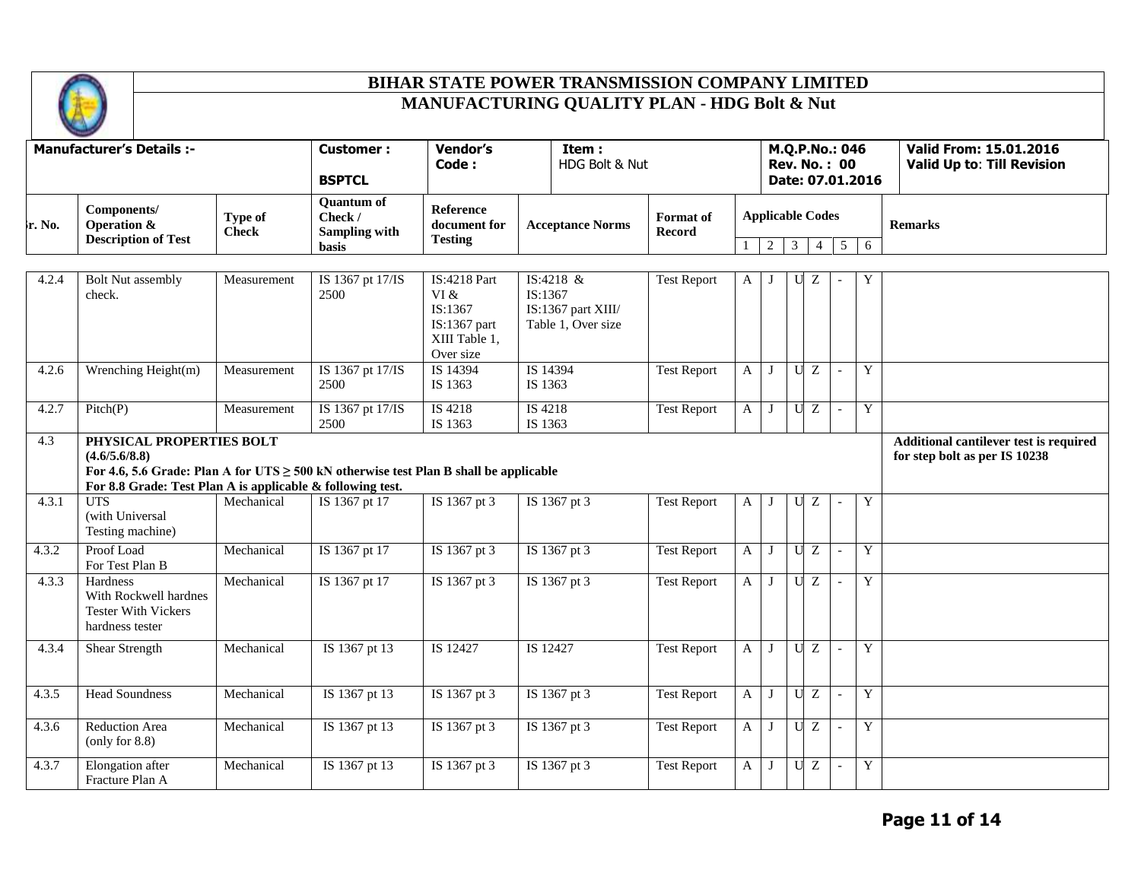

|        | <b>Manufacturer's Details :-</b>                                                                                                                                                                      |                         |                                                                      |                                                                                      |                                                                  |                            |              |                                           |                |                           |                                       |                  |                                                                         |
|--------|-------------------------------------------------------------------------------------------------------------------------------------------------------------------------------------------------------|-------------------------|----------------------------------------------------------------------|--------------------------------------------------------------------------------------|------------------------------------------------------------------|----------------------------|--------------|-------------------------------------------|----------------|---------------------------|---------------------------------------|------------------|-------------------------------------------------------------------------|
|        |                                                                                                                                                                                                       |                         | <b>Customer:</b><br><b>BSPTCL</b>                                    | <b>Vendor's</b><br>Code:                                                             | Item:<br>HDG Bolt & Nut                                          |                            |              |                                           |                |                           | M.Q.P.No.: 046<br><b>Rev. No.: 00</b> | Date: 07.01.2016 | <b>Valid From: 15.01.2016</b><br>Valid Up to: Till Revision             |
| ե. No. | Components/<br><b>Operation &amp;</b><br><b>Description of Test</b>                                                                                                                                   | Type of<br><b>Check</b> | <b>Quantum of</b><br>Check /<br><b>Sampling with</b><br><b>basis</b> | <b>Reference</b><br>document for<br><b>Testing</b>                                   | <b>Acceptance Norms</b>                                          | Format of<br><b>Record</b> | $\mathbf{1}$ | <b>Applicable Codes</b><br>2 <sup>1</sup> | 3 <sup>7</sup> | $\overline{4}$            | 5                                     | 6                | <b>Remarks</b>                                                          |
| 4.2.4  | <b>Bolt Nut assembly</b><br>check.                                                                                                                                                                    | Measurement             | IS 1367 pt 17/IS<br>2500                                             | <b>IS:4218 Part</b><br>VI &<br>IS:1367<br>IS:1367 part<br>XIII Table 1,<br>Over size | IS:4218 &<br>IS:1367<br>IS:1367 part XIII/<br>Table 1, Over size | <b>Test Report</b>         | A            |                                           | U              | Ζ                         |                                       | Y                |                                                                         |
| 4.2.6  | Wrenching Height(m)                                                                                                                                                                                   | Measurement             | IS 1367 pt 17/IS<br>2500                                             | IS 14394<br>IS 14394<br>IS 1363<br>IS 1363                                           |                                                                  | <b>Test Report</b>         | $\mathbf{A}$ | J                                         |                | UZ                        | $\overline{\phantom{a}}$              | Y                |                                                                         |
| 4.2.7  | Pitch(P)                                                                                                                                                                                              | Measurement             | IS 1367 pt 17/IS<br>2500                                             | IS 4218<br>IS 1363                                                                   | IS 4218<br>IS 1363                                               | <b>Test Report</b>         | $\mathbf{A}$ | J                                         |                | UZ                        | $\sim$                                | Y                |                                                                         |
| 4.3    | PHYSICAL PROPERTIES BOLT<br>(4.6/5.6/8.8)<br>For 4.6, 5.6 Grade: Plan A for UTS $\geq$ 500 kN otherwise test Plan B shall be applicable<br>For 8.8 Grade: Test Plan A is applicable & following test. |                         |                                                                      |                                                                                      |                                                                  |                            |              |                                           |                |                           |                                       |                  | Additional cantilever test is required<br>for step bolt as per IS 10238 |
| 4.3.1  | <b>UTS</b><br>(with Universal<br>Testing machine)                                                                                                                                                     | Mechanical              | IS 1367 pt 17                                                        | IS 1367 pt 3                                                                         | IS 1367 pt 3                                                     | <b>Test Report</b>         | A            |                                           | U              | Ζ                         |                                       | Y                |                                                                         |
| 4.3.2  | Proof Load<br>For Test Plan B                                                                                                                                                                         | Mechanical              | IS 1367 pt 17                                                        | IS 1367 pt 3                                                                         | IS 1367 pt 3                                                     | <b>Test Report</b>         | $\mathbf{A}$ | J                                         | $\mathbf U$    | $\ensuremath{\mathbf{Z}}$ | $\overline{\phantom{a}}$              | Y                |                                                                         |
| 4.3.3  | Hardness<br>With Rockwell hardnes<br><b>Tester With Vickers</b><br>hardness tester                                                                                                                    | Mechanical              | IS 1367 pt 17                                                        | IS 1367 pt 3                                                                         | IS 1367 pt 3                                                     | <b>Test Report</b>         | $\mathbf{A}$ |                                           | U              | Z                         | $\overline{\phantom{a}}$              | Y                |                                                                         |
| 4.3.4  | <b>Shear Strength</b>                                                                                                                                                                                 | Mechanical              | IS 1367 pt 13                                                        | IS 12427                                                                             | IS 12427                                                         | <b>Test Report</b>         | $\mathbf{A}$ | J                                         | $\mathbf U$    | $\overline{z}$            | $\overline{\phantom{a}}$              | Y                |                                                                         |
| 4.3.5  | <b>Head Soundness</b>                                                                                                                                                                                 | Mechanical              | IS 1367 pt 13                                                        | IS 1367 pt 3                                                                         | IS 1367 pt 3                                                     | <b>Test Report</b>         | $\mathbf{A}$ | J                                         | $\mathbf U$    | Z                         | $\overline{a}$                        | Y                |                                                                         |
| 4.3.6  | <b>Reduction Area</b><br>(only for 8.8)                                                                                                                                                               | Mechanical              | IS 1367 pt 13                                                        | IS 1367 pt 3                                                                         | IS 1367 pt 3                                                     | <b>Test Report</b>         | $\mathbf{A}$ | $\bf{I}$                                  |                | UZ                        | $\overline{\phantom{a}}$              | Y                |                                                                         |
| 4.3.7  | Elongation after<br>Fracture Plan A                                                                                                                                                                   | Mechanical              | IS 1367 pt 13                                                        | IS 1367 pt 3                                                                         | IS 1367 pt 3                                                     | <b>Test Report</b>         | A            | J                                         | U              | Z                         | $\overline{\phantom{a}}$              | Y                |                                                                         |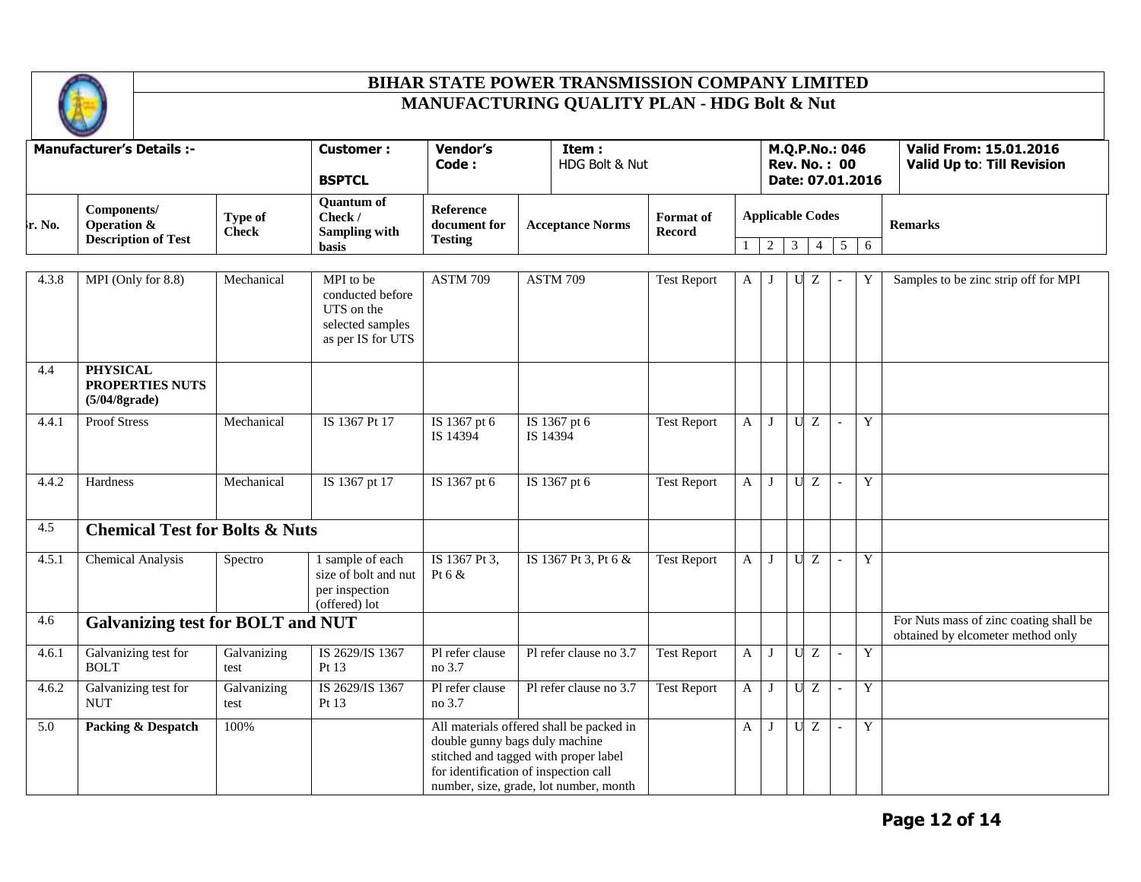

|        | <b>Manufacturer's Details :-</b>                                    |                         | <b>Customer:</b><br><b>BSPTCL</b>                                                    | <b>Vendor's</b><br>Code:                                                                                                                                                                               |          | Item:<br>HDG Bolt & Nut |                            |              |                              |                |                | M.Q.P.No.: 046<br><b>Rev. No.: 00</b> | Date: 07.01.2016 | Valid From: 15.01.2016<br><b>Valid Up to: Till Revision</b>                 |
|--------|---------------------------------------------------------------------|-------------------------|--------------------------------------------------------------------------------------|--------------------------------------------------------------------------------------------------------------------------------------------------------------------------------------------------------|----------|-------------------------|----------------------------|--------------|------------------------------|----------------|----------------|---------------------------------------|------------------|-----------------------------------------------------------------------------|
| r. No. | Components/<br><b>Operation &amp;</b><br><b>Description of Test</b> | Type of<br><b>Check</b> | <b>Quantum of</b><br>Check /<br><b>Sampling with</b><br><b>basis</b>                 | <b>Reference</b><br>document for<br><b>Testing</b>                                                                                                                                                     |          | <b>Acceptance Norms</b> | Format of<br><b>Record</b> | $\mathbf{1}$ | <b>Applicable Codes</b><br>2 | $\overline{3}$ | $\overline{4}$ | 5                                     | 6                | <b>Remarks</b>                                                              |
| 4.3.8  | MPI (Only for 8.8)                                                  | Mechanical              | MPI to be<br>conducted before<br>UTS on the<br>selected samples<br>as per IS for UTS | <b>ASTM 709</b>                                                                                                                                                                                        |          | <b>ASTM 709</b>         | <b>Test Report</b>         | A            | $\bf{J}$                     | U              | Z              |                                       |                  | Samples to be zinc strip off for MPI                                        |
| 4.4    | <b>PHYSICAL</b><br>PROPERTIES NUTS<br>(5/04/8grade)                 |                         |                                                                                      |                                                                                                                                                                                                        |          |                         |                            |              |                              |                |                |                                       |                  |                                                                             |
| 4.4.1  | <b>Proof Stress</b>                                                 | Mechanical              | IS 1367 Pt 17                                                                        | IS 1367 pt 6<br>IS 14394                                                                                                                                                                               | IS 14394 | IS 1367 pt 6            | <b>Test Report</b>         | $\mathbf{A}$ | J                            |                | U Z            | $\blacksquare$                        | Y                |                                                                             |
| 4.4.2  | Hardness                                                            | Mechanical              | IS 1367 pt 17                                                                        | IS 1367 pt 6                                                                                                                                                                                           |          | IS 1367 pt 6            | <b>Test Report</b>         | $\mathbf{A}$ | J                            | U              | Z              |                                       | $\mathbf Y$      |                                                                             |
| 4.5    | <b>Chemical Test for Bolts &amp; Nuts</b>                           |                         |                                                                                      |                                                                                                                                                                                                        |          |                         |                            |              |                              |                |                |                                       |                  |                                                                             |
| 4.5.1  | <b>Chemical Analysis</b>                                            | Spectro                 | 1 sample of each<br>size of bolt and nut<br>per inspection<br>(offered) lot          | IS 1367 Pt 3,<br>Pt $6 &$                                                                                                                                                                              |          | IS 1367 Pt 3, Pt 6 &    | <b>Test Report</b>         | $\mathbf{A}$ | J                            | U              | Z              |                                       | $\mathbf Y$      |                                                                             |
| 4.6    | <b>Galvanizing test for BOLT and NUT</b>                            |                         |                                                                                      |                                                                                                                                                                                                        |          |                         |                            |              |                              |                |                |                                       |                  | For Nuts mass of zinc coating shall be<br>obtained by elcometer method only |
| 4.6.1  | Galvanizing test for<br><b>BOLT</b>                                 | Galvanizing<br>test     | IS 2629/IS 1367<br>Pt 13                                                             | Pl refer clause<br>no 3.7                                                                                                                                                                              |          | Pl refer clause no 3.7  | <b>Test Report</b>         | $\mathbf{A}$ | J                            | $\mathbf U$    | Z              |                                       | Y                |                                                                             |
| 4.6.2  | Galvanizing test for<br><b>NUT</b>                                  | Galvanizing<br>test     | IS 2629/IS 1367<br>Pt 13                                                             | Pl refer clause<br>no 3.7                                                                                                                                                                              |          | Pl refer clause no 3.7  | <b>Test Report</b>         | $\mathbf{A}$ | J                            |                | U Z            | $\overline{\phantom{a}}$              | Y                |                                                                             |
| 5.0    | Packing & Despatch                                                  | 100%                    |                                                                                      | All materials offered shall be packed in<br>double gunny bags duly machine<br>stitched and tagged with proper label<br>for identification of inspection call<br>number, size, grade, lot number, month |          |                         |                            | $\mathbf{A}$ | J                            |                | U Z            | $\overline{\phantom{a}}$              | Y                |                                                                             |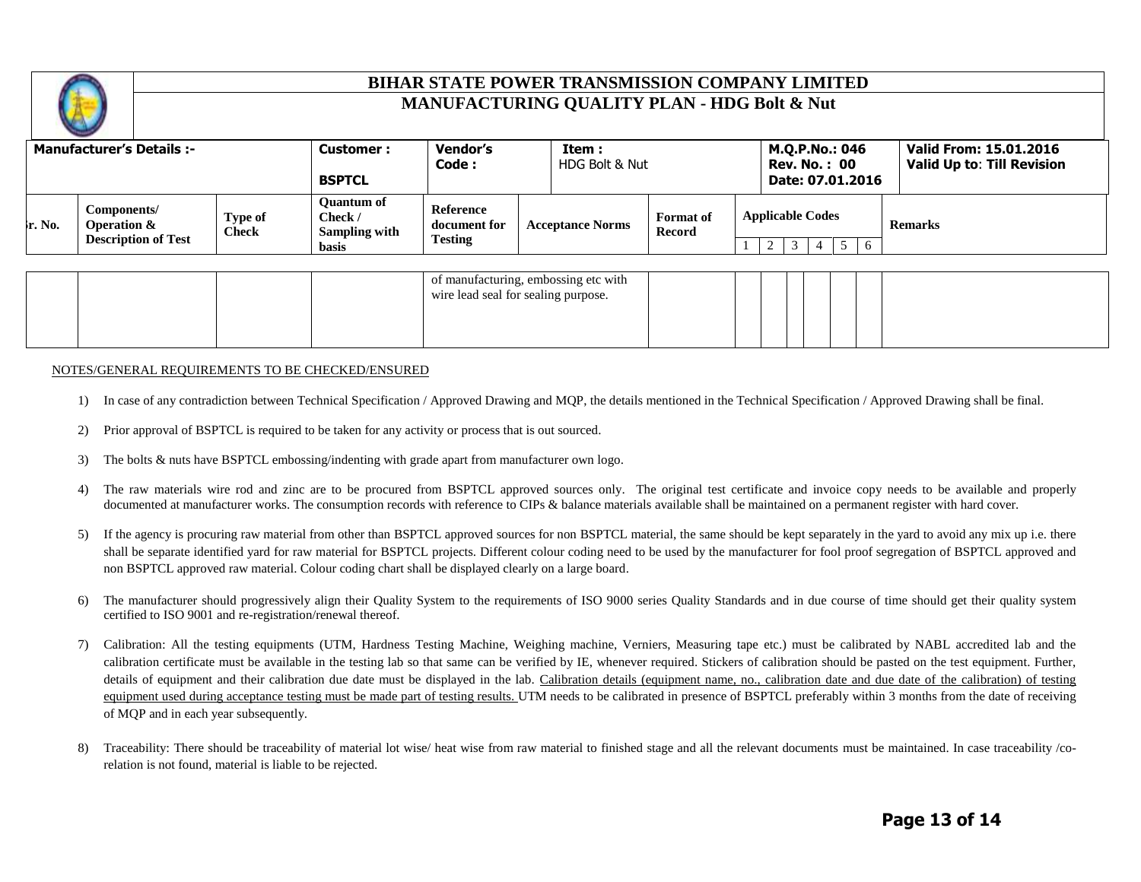

|                    | <b>Manufacturer's Details:-</b>                          |                         | <b>Customer :</b><br><b>BSPTCL</b>                            | <b>Vendor's</b><br>Code :                   | Item:<br>HDG Bolt & Nut |                                   | M.Q.P.No.: 046<br><b>Rev. No.: 00</b><br>Date: 07.01.2016 | Valid From: 15.01.2016<br>Valid Up to: Till Revision |
|--------------------|----------------------------------------------------------|-------------------------|---------------------------------------------------------------|---------------------------------------------|-------------------------|-----------------------------------|-----------------------------------------------------------|------------------------------------------------------|
| $\mathbf{r}$ . No. | Components/<br>Operation &<br><b>Description of Test</b> | Type of<br><b>Check</b> | <b>Ouantum of</b><br>Check /<br>Sampling with<br><b>basis</b> | Reference<br>document for<br><b>Testing</b> | <b>Acceptance Norms</b> | <b>Format</b> of<br><b>Record</b> | <b>Applicable Codes</b><br>$\overline{6}$                 | <b>Remarks</b>                                       |

|  |  | of manufacturing, embossing etc with<br>wire lead seal for sealing purpose. |  |  |  |  |  |
|--|--|-----------------------------------------------------------------------------|--|--|--|--|--|
|  |  |                                                                             |  |  |  |  |  |

#### NOTES/GENERAL REQUIREMENTS TO BE CHECKED/ENSURED

- 1) In case of any contradiction between Technical Specification / Approved Drawing and MQP, the details mentioned in the Technical Specification / Approved Drawing shall be final.
- 2) Prior approval of BSPTCL is required to be taken for any activity or process that is out sourced.
- 3) The bolts & nuts have BSPTCL embossing/indenting with grade apart from manufacturer own logo.
- 4) The raw materials wire rod and zinc are to be procured from BSPTCL approved sources only. The original test certificate and invoice copy needs to be available and properly documented at manufacturer works. The consumption records with reference to CIPs & balance materials available shall be maintained on a permanent register with hard cover.
- 5) If the agency is procuring raw material from other than BSPTCL approved sources for non BSPTCL material, the same should be kept separately in the yard to avoid any mix up i.e. there shall be separate identified yard for raw material for BSPTCL projects. Different colour coding need to be used by the manufacturer for fool proof segregation of BSPTCL approved and non BSPTCL approved raw material. Colour coding chart shall be displayed clearly on a large board.
- 6) The manufacturer should progressively align their Quality System to the requirements of ISO 9000 series Quality Standards and in due course of time should get their quality system certified to ISO 9001 and re-registration/renewal thereof.
- 7) Calibration: All the testing equipments (UTM, Hardness Testing Machine, Weighing machine, Verniers, Measuring tape etc.) must be calibrated by NABL accredited lab and the calibration certificate must be available in the testing lab so that same can be verified by IE, whenever required. Stickers of calibration should be pasted on the test equipment. Further, details of equipment and their calibration due date must be displayed in the lab. Calibration details (equipment name, no., calibration date and due date of the calibration) of testing equipment used during acceptance testing must be made part of testing results. UTM needs to be calibrated in presence of BSPTCL preferably within 3 months from the date of receiving of MQP and in each year subsequently.
- 8) Traceability: There should be traceability of material lot wise/ heat wise from raw material to finished stage and all the relevant documents must be maintained. In case traceability/corelation is not found, material is liable to be rejected.